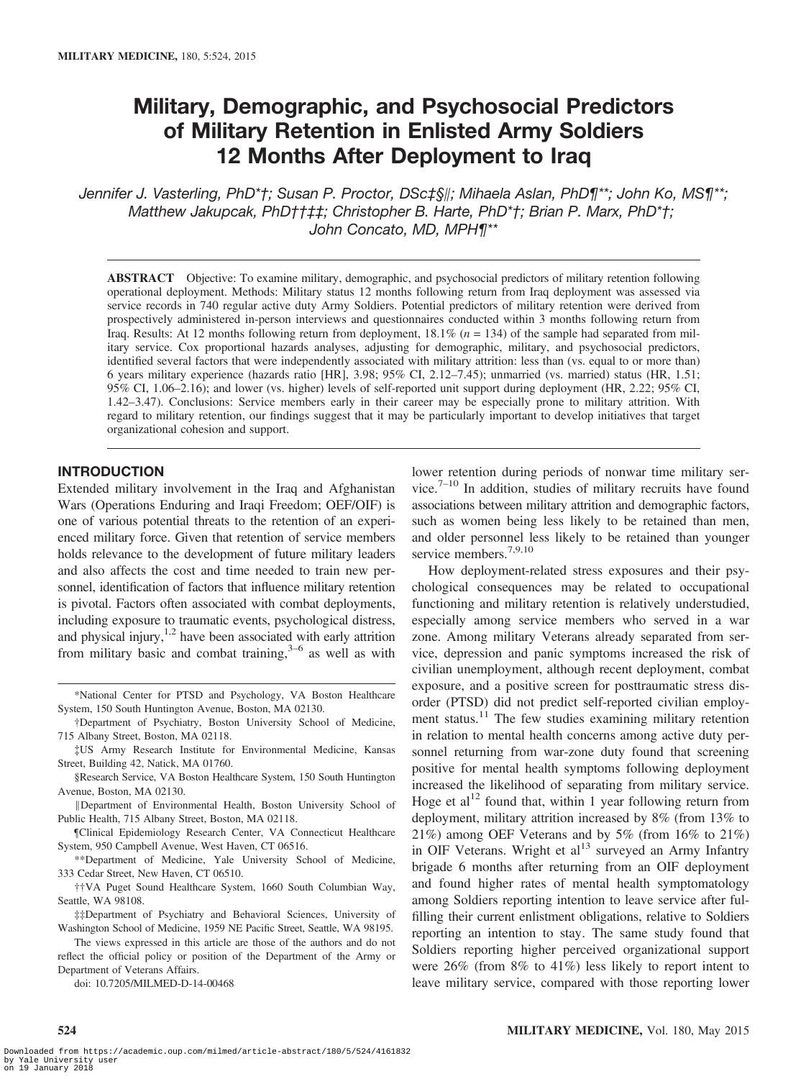# Military, Demographic, and Psychosocial Predictors of Military Retention in Enlisted Army Soldiers 12 Months After Deployment to Iraq

Jennifer J. Vasterling, PhD\*†; Susan P. Proctor, DSc‡§∥; Mihaela Aslan, PhD¶\*\*; John Ko, MS¶\*\*; Matthew Jakupcak, PhD††‡‡; Christopher B. Harte, PhD\*†; Brian P. Marx, PhD\*†;  $\sum_{i=1}^{n}$ 

ABSTRACT Objective: To examine military, demographic, and psychosocial predictors of military retention following operational deployment. Methods: Military status 12 months following return from Iraq deployment was assessed via service records in 740 regular active duty Army Soldiers. Potential predictors of military retention were derived from prospectively administered in-person interviews and questionnaires conducted within 3 months following return from Iraq. Results: At 12 months following return from deployment,  $18.1\%$  ( $n = 134$ ) of the sample had separated from military service. Cox proportional hazards analyses, adjusting for demographic, military, and psychosocial predictors, identified several factors that were independently associated with military attrition: less than (vs. equal to or more than) 6 years military experience (hazards ratio [HR], 3.98; 95% CI, 2.12–7.45); unmarried (vs. married) status (HR, 1.51; 95% CI, 1.06–2.16); and lower (vs. higher) levels of self-reported unit support during deployment (HR, 2.22; 95% CI, 1.42–3.47). Conclusions: Service members early in their career may be especially prone to military attrition. With regard to military retention, our findings suggest that it may be particularly important to develop initiatives that target organizational cohesion and support.

#### INTRODUCTION

Extended military involvement in the Iraq and Afghanistan Wars (Operations Enduring and Iraqi Freedom; OEF/OIF) is one of various potential threats to the retention of an experienced military force. Given that retention of service members holds relevance to the development of future military leaders and also affects the cost and time needed to train new personnel, identification of factors that influence military retention is pivotal. Factors often associated with combat deployments, including exposure to traumatic events, psychological distress, and physical injury, $1,2$  have been associated with early attrition from military basic and combat training, $3-6$  as well as with

- {US Army Research Institute for Environmental Medicine, Kansas Street, Building 42, Natick, MA 01760.
- §Research Service, VA Boston Healthcare System, 150 South Huntington Avenue, Boston, MA 02130.
- ∥Department of Environmental Health, Boston University School of Public Health, 715 Albany Street, Boston, MA 02118.
- ¶Clinical Epidemiology Research Center, VA Connecticut Healthcare System, 950 Campbell Avenue, West Haven, CT 06516.
- \*\*Department of Medicine, Yale University School of Medicine, 333 Cedar Street, New Haven, CT 06510.
- ††VA Puget Sound Healthcare System, 1660 South Columbian Way, Seattle, WA 98108.
- ‡‡Department of Psychiatry and Behavioral Sciences, University of Washington School of Medicine, 1959 NE Pacific Street, Seattle, WA 98195.
- The views expressed in this article are those of the authors and do not reflect the official policy or position of the Department of the Army or Department of Veterans Affairs.

doi: 10.7205/MILMED-D-14-00468

524

lower retention during periods of nonwar time military service.7–<sup>10</sup> In addition, studies of military recruits have found associations between military attrition and demographic factors, such as women being less likely to be retained than men, and older personnel less likely to be retained than younger service members.<sup>7,9,10</sup>

How deployment-related stress exposures and their psychological consequences may be related to occupational functioning and military retention is relatively understudied, especially among service members who served in a war zone. Among military Veterans already separated from service, depression and panic symptoms increased the risk of civilian unemployment, although recent deployment, combat exposure, and a positive screen for posttraumatic stress disorder (PTSD) did not predict self-reported civilian employment status.<sup>11</sup> The few studies examining military retention in relation to mental health concerns among active duty personnel returning from war-zone duty found that screening positive for mental health symptoms following deployment increased the likelihood of separating from military service. Hoge et al<sup>12</sup> found that, within 1 year following return from deployment, military attrition increased by 8% (from 13% to 21%) among OEF Veterans and by 5% (from 16% to 21%) in OIF Veterans. Wright et  $al<sup>13</sup>$  surveyed an Army Infantry brigade 6 months after returning from an OIF deployment and found higher rates of mental health symptomatology among Soldiers reporting intention to leave service after fulfilling their current enlistment obligations, relative to Soldiers reporting an intention to stay. The same study found that Soldiers reporting higher perceived organizational support were 26% (from 8% to 41%) less likely to report intent to leave military service, compared with those reporting lower

<sup>\*</sup>National Center for PTSD and Psychology, VA Boston Healthcare System, 150 South Huntington Avenue, Boston, MA 02130.

<sup>†</sup>Department of Psychiatry, Boston University School of Medicine, 715 Albany Street, Boston, MA 02118.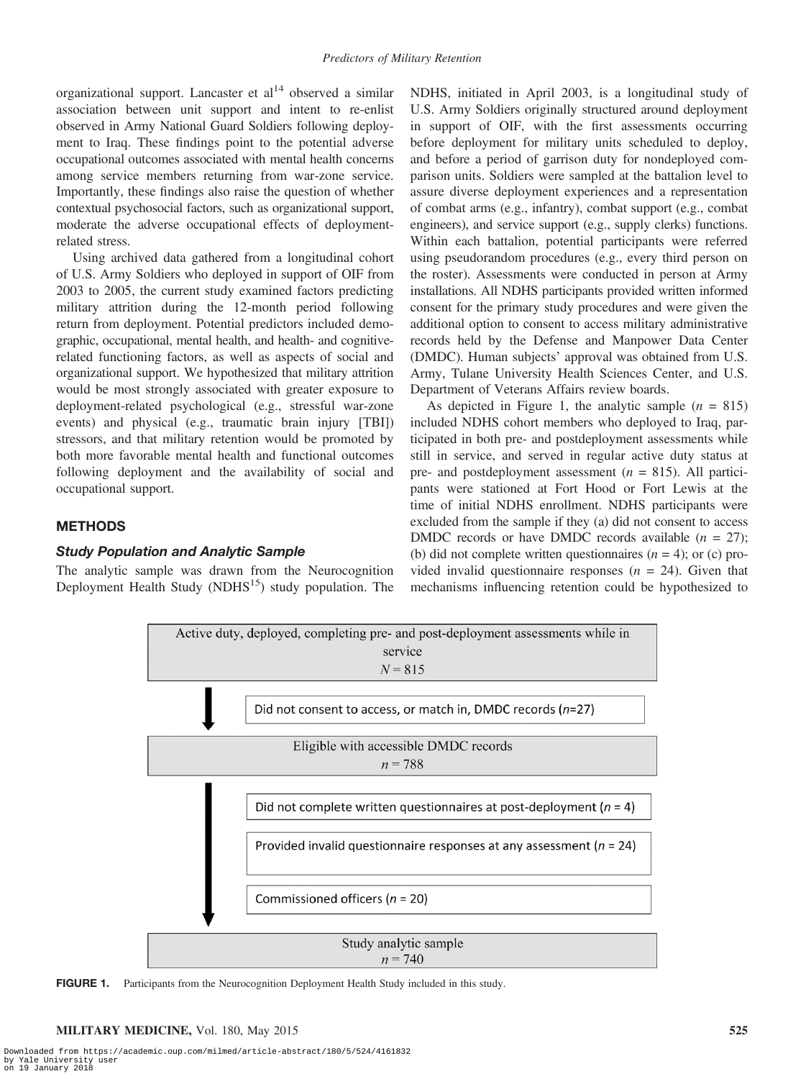organizational support. Lancaster et  $al<sup>14</sup>$  observed a similar association between unit support and intent to re-enlist observed in Army National Guard Soldiers following deployment to Iraq. These findings point to the potential adverse occupational outcomes associated with mental health concerns among service members returning from war-zone service. Importantly, these findings also raise the question of whether contextual psychosocial factors, such as organizational support, moderate the adverse occupational effects of deploymentrelated stress.

Using archived data gathered from a longitudinal cohort of U.S. Army Soldiers who deployed in support of OIF from 2003 to 2005, the current study examined factors predicting military attrition during the 12-month period following return from deployment. Potential predictors included demographic, occupational, mental health, and health- and cognitiverelated functioning factors, as well as aspects of social and organizational support. We hypothesized that military attrition would be most strongly associated with greater exposure to deployment-related psychological (e.g., stressful war-zone events) and physical (e.g., traumatic brain injury [TBI]) stressors, and that military retention would be promoted by both more favorable mental health and functional outcomes following deployment and the availability of social and occupational support.

# **METHODS**

#### Study Population and Analytic Sample

The analytic sample was drawn from the Neurocognition Deployment Health Study (NDHS $<sup>15</sup>$ ) study population. The</sup> NDHS, initiated in April 2003, is a longitudinal study of U.S. Army Soldiers originally structured around deployment in support of OIF, with the first assessments occurring before deployment for military units scheduled to deploy, and before a period of garrison duty for nondeployed comparison units. Soldiers were sampled at the battalion level to assure diverse deployment experiences and a representation of combat arms (e.g., infantry), combat support (e.g., combat engineers), and service support (e.g., supply clerks) functions. Within each battalion, potential participants were referred using pseudorandom procedures (e.g., every third person on the roster). Assessments were conducted in person at Army installations. All NDHS participants provided written informed consent for the primary study procedures and were given the additional option to consent to access military administrative records held by the Defense and Manpower Data Center (DMDC). Human subjects' approval was obtained from U.S. Army, Tulane University Health Sciences Center, and U.S. Department of Veterans Affairs review boards.

As depicted in Figure 1, the analytic sample  $(n = 815)$ included NDHS cohort members who deployed to Iraq, participated in both pre- and postdeployment assessments while still in service, and served in regular active duty status at pre- and postdeployment assessment ( $n = 815$ ). All participants were stationed at Fort Hood or Fort Lewis at the time of initial NDHS enrollment. NDHS participants were excluded from the sample if they (a) did not consent to access DMDC records or have DMDC records available  $(n = 27)$ ; (b) did not complete written questionnaires  $(n = 4)$ ; or (c) provided invalid questionnaire responses  $(n = 24)$ . Given that mechanisms influencing retention could be hypothesized to



FIGURE 1. Participants from the Neurocognition Deployment Health Study included in this study.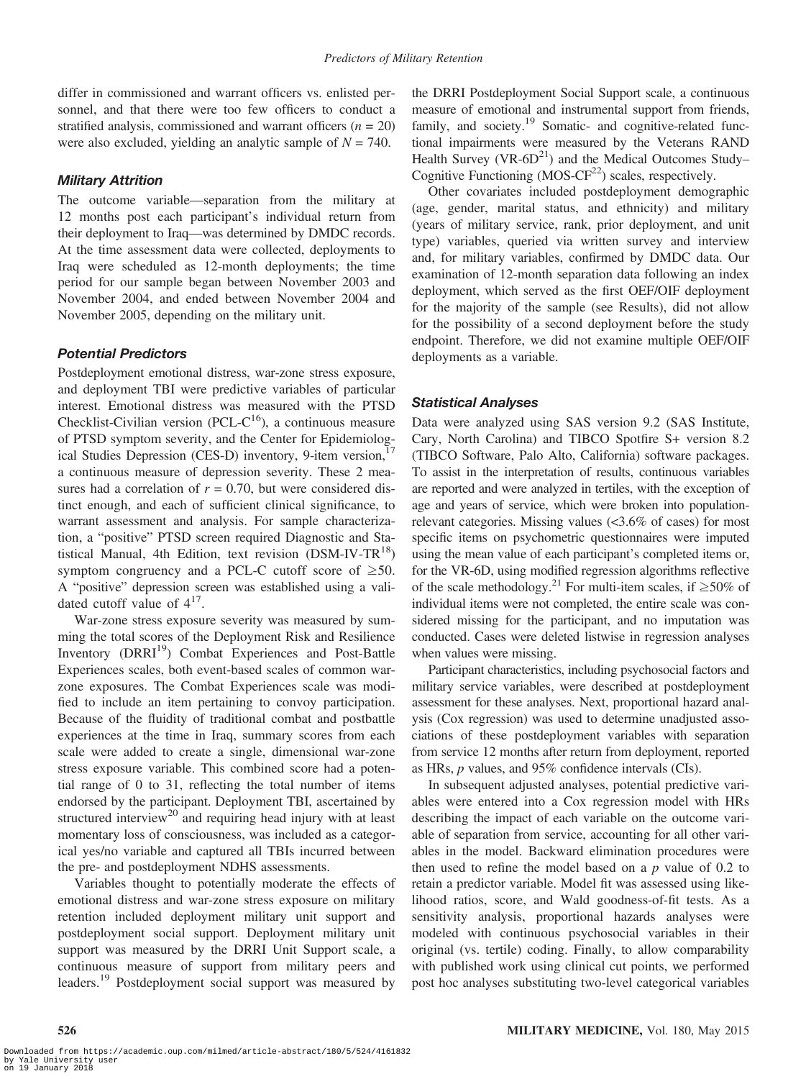differ in commissioned and warrant officers vs. enlisted personnel, and that there were too few officers to conduct a stratified analysis, commissioned and warrant officers  $(n = 20)$ were also excluded, yielding an analytic sample of  $N = 740$ .

# Military Attrition

The outcome variable—separation from the military at 12 months post each participant's individual return from their deployment to Iraq—was determined by DMDC records. At the time assessment data were collected, deployments to Iraq were scheduled as 12-month deployments; the time period for our sample began between November 2003 and November 2004, and ended between November 2004 and November 2005, depending on the military unit.

# Potential Predictors

Postdeployment emotional distress, war-zone stress exposure, and deployment TBI were predictive variables of particular interest. Emotional distress was measured with the PTSD Checklist-Civilian version (PCL- $C^{16}$ ), a continuous measure of PTSD symptom severity, and the Center for Epidemiological Studies Depression (CES-D) inventory, 9-item version,<sup>17</sup> a continuous measure of depression severity. These 2 measures had a correlation of  $r = 0.70$ , but were considered distinct enough, and each of sufficient clinical significance, to warrant assessment and analysis. For sample characterization, a "positive" PTSD screen required Diagnostic and Statistical Manual, 4th Edition, text revision  $(DSM-IV-TR^{18})$ symptom congruency and a PCL-C cutoff score of  $\geq 50$ . A "positive" depression screen was established using a validated cutoff value of  $4^{17}$ .

War-zone stress exposure severity was measured by summing the total scores of the Deployment Risk and Resilience Inventory (DRRI<sup>19</sup>) Combat Experiences and Post-Battle Experiences scales, both event-based scales of common warzone exposures. The Combat Experiences scale was modified to include an item pertaining to convoy participation. Because of the fluidity of traditional combat and postbattle experiences at the time in Iraq, summary scores from each scale were added to create a single, dimensional war-zone stress exposure variable. This combined score had a potential range of 0 to 31, reflecting the total number of items endorsed by the participant. Deployment TBI, ascertained by structured interview<sup>20</sup> and requiring head injury with at least momentary loss of consciousness, was included as a categorical yes/no variable and captured all TBIs incurred between the pre- and postdeployment NDHS assessments.

Variables thought to potentially moderate the effects of emotional distress and war-zone stress exposure on military retention included deployment military unit support and postdeployment social support. Deployment military unit support was measured by the DRRI Unit Support scale, a continuous measure of support from military peers and leaders.<sup>19</sup> Postdeployment social support was measured by the DRRI Postdeployment Social Support scale, a continuous measure of emotional and instrumental support from friends, family, and society.<sup>19</sup> Somatic- and cognitive-related functional impairments were measured by the Veterans RAND Health Survey (VR- $6D<sup>21</sup>$ ) and the Medical Outcomes Study– Cognitive Functioning  $(MOS-CF<sup>22</sup>)$  scales, respectively.

Other covariates included postdeployment demographic (age, gender, marital status, and ethnicity) and military (years of military service, rank, prior deployment, and unit type) variables, queried via written survey and interview and, for military variables, confirmed by DMDC data. Our examination of 12-month separation data following an index deployment, which served as the first OEF/OIF deployment for the majority of the sample (see Results), did not allow for the possibility of a second deployment before the study endpoint. Therefore, we did not examine multiple OEF/OIF deployments as a variable.

# Statistical Analyses

Data were analyzed using SAS version 9.2 (SAS Institute, Cary, North Carolina) and TIBCO Spotfire S+ version 8.2 (TIBCO Software, Palo Alto, California) software packages. To assist in the interpretation of results, continuous variables are reported and were analyzed in tertiles, with the exception of age and years of service, which were broken into populationrelevant categories. Missing values (<3.6% of cases) for most specific items on psychometric questionnaires were imputed using the mean value of each participant's completed items or, for the VR-6D, using modified regression algorithms reflective of the scale methodology.<sup>21</sup> For multi-item scales, if  $\geq$ 50% of individual items were not completed, the entire scale was considered missing for the participant, and no imputation was conducted. Cases were deleted listwise in regression analyses when values were missing.

Participant characteristics, including psychosocial factors and military service variables, were described at postdeployment assessment for these analyses. Next, proportional hazard analysis (Cox regression) was used to determine unadjusted associations of these postdeployment variables with separation from service 12 months after return from deployment, reported as HRs, p values, and 95% confidence intervals (CIs).

In subsequent adjusted analyses, potential predictive variables were entered into a Cox regression model with HRs describing the impact of each variable on the outcome variable of separation from service, accounting for all other variables in the model. Backward elimination procedures were then used to refine the model based on a  $p$  value of 0.2 to retain a predictor variable. Model fit was assessed using likelihood ratios, score, and Wald goodness-of-fit tests. As a sensitivity analysis, proportional hazards analyses were modeled with continuous psychosocial variables in their original (vs. tertile) coding. Finally, to allow comparability with published work using clinical cut points, we performed post hoc analyses substituting two-level categorical variables

526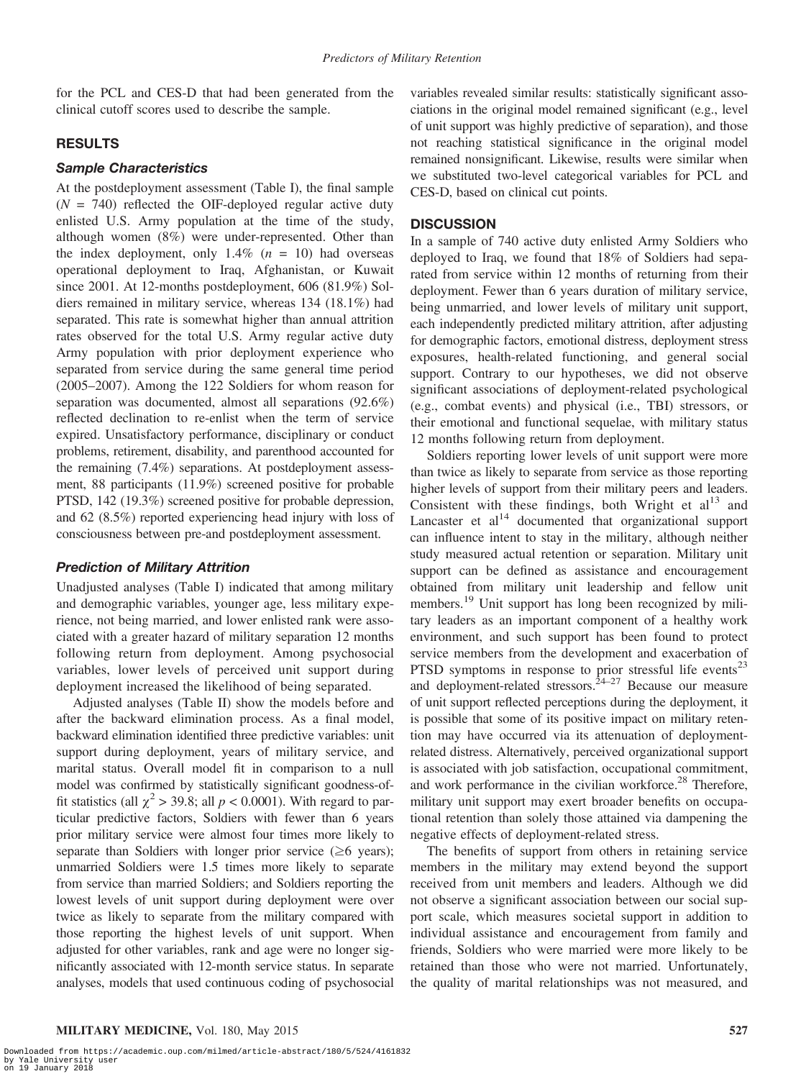for the PCL and CES-D that had been generated from the clinical cutoff scores used to describe the sample.

## RESULTS

#### Sample Characteristics

At the postdeployment assessment (Table I), the final sample  $(N = 740)$  reflected the OIF-deployed regular active duty enlisted U.S. Army population at the time of the study, although women (8%) were under-represented. Other than the index deployment, only  $1.4\%$  ( $n = 10$ ) had overseas operational deployment to Iraq, Afghanistan, or Kuwait since 2001. At 12-months postdeployment, 606 (81.9%) Soldiers remained in military service, whereas 134 (18.1%) had separated. This rate is somewhat higher than annual attrition rates observed for the total U.S. Army regular active duty Army population with prior deployment experience who separated from service during the same general time period (2005–2007). Among the 122 Soldiers for whom reason for separation was documented, almost all separations (92.6%) reflected declination to re-enlist when the term of service expired. Unsatisfactory performance, disciplinary or conduct problems, retirement, disability, and parenthood accounted for the remaining (7.4%) separations. At postdeployment assessment, 88 participants (11.9%) screened positive for probable PTSD, 142 (19.3%) screened positive for probable depression, and 62 (8.5%) reported experiencing head injury with loss of consciousness between pre-and postdeployment assessment.

#### Prediction of Military Attrition

Unadjusted analyses (Table I) indicated that among military and demographic variables, younger age, less military experience, not being married, and lower enlisted rank were associated with a greater hazard of military separation 12 months following return from deployment. Among psychosocial variables, lower levels of perceived unit support during deployment increased the likelihood of being separated.

Adjusted analyses (Table II) show the models before and after the backward elimination process. As a final model, backward elimination identified three predictive variables: unit support during deployment, years of military service, and marital status. Overall model fit in comparison to a null model was confirmed by statistically significant goodness-offit statistics (all  $\chi^2$  > 39.8; all  $p < 0.0001$ ). With regard to particular predictive factors, Soldiers with fewer than 6 years prior military service were almost four times more likely to separate than Soldiers with longer prior service  $(\geq 6$  years); unmarried Soldiers were 1.5 times more likely to separate from service than married Soldiers; and Soldiers reporting the lowest levels of unit support during deployment were over twice as likely to separate from the military compared with those reporting the highest levels of unit support. When adjusted for other variables, rank and age were no longer significantly associated with 12-month service status. In separate analyses, models that used continuous coding of psychosocial

variables revealed similar results: statistically significant associations in the original model remained significant (e.g., level of unit support was highly predictive of separation), and those not reaching statistical significance in the original model remained nonsignificant. Likewise, results were similar when we substituted two-level categorical variables for PCL and CES-D, based on clinical cut points.

#### **DISCUSSION**

In a sample of 740 active duty enlisted Army Soldiers who deployed to Iraq, we found that 18% of Soldiers had separated from service within 12 months of returning from their deployment. Fewer than 6 years duration of military service, being unmarried, and lower levels of military unit support, each independently predicted military attrition, after adjusting for demographic factors, emotional distress, deployment stress exposures, health-related functioning, and general social support. Contrary to our hypotheses, we did not observe significant associations of deployment-related psychological (e.g., combat events) and physical (i.e., TBI) stressors, or their emotional and functional sequelae, with military status 12 months following return from deployment.

Soldiers reporting lower levels of unit support were more than twice as likely to separate from service as those reporting higher levels of support from their military peers and leaders. Consistent with these findings, both Wright et  $al<sup>13</sup>$  and Lancaster et  $al<sup>14</sup>$  documented that organizational support can influence intent to stay in the military, although neither study measured actual retention or separation. Military unit support can be defined as assistance and encouragement obtained from military unit leadership and fellow unit members.<sup>19</sup> Unit support has long been recognized by military leaders as an important component of a healthy work environment, and such support has been found to protect service members from the development and exacerbation of PTSD symptoms in response to prior stressful life events<sup>23</sup> and deployment-related stressors.  $24-27$  Because our measure of unit support reflected perceptions during the deployment, it is possible that some of its positive impact on military retention may have occurred via its attenuation of deploymentrelated distress. Alternatively, perceived organizational support is associated with job satisfaction, occupational commitment, and work performance in the civilian workforce.<sup>28</sup> Therefore, military unit support may exert broader benefits on occupational retention than solely those attained via dampening the negative effects of deployment-related stress.

The benefits of support from others in retaining service members in the military may extend beyond the support received from unit members and leaders. Although we did not observe a significant association between our social support scale, which measures societal support in addition to individual assistance and encouragement from family and friends, Soldiers who were married were more likely to be retained than those who were not married. Unfortunately, the quality of marital relationships was not measured, and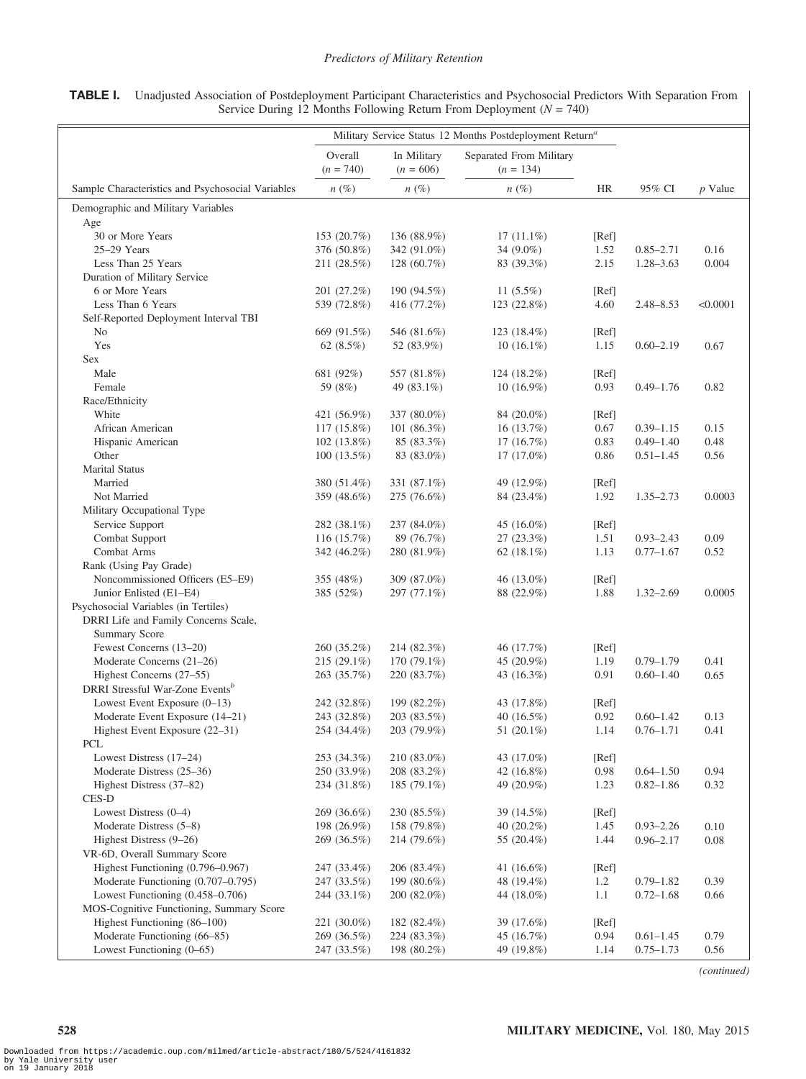| TABLE I. Unadjusted Association of Postdeployment Participant Characteristics and Psychosocial Predictors With Separation From |
|--------------------------------------------------------------------------------------------------------------------------------|
| Service During 12 Months Following Return From Deployment $(N = 740)$                                                          |

|                                                   | Military Service Status 12 Months Postdeployment Return <sup>a</sup> |                            |                                        |               |               |           |
|---------------------------------------------------|----------------------------------------------------------------------|----------------------------|----------------------------------------|---------------|---------------|-----------|
|                                                   | Overall<br>$(n = 740)$                                               | In Military<br>$(n = 606)$ | Separated From Military<br>$(n = 134)$ |               |               |           |
| Sample Characteristics and Psychosocial Variables | $n(\%)$                                                              | $n(\%)$                    | $n(\%)$                                | HR            | 95% CI        | $p$ Value |
| Demographic and Military Variables                |                                                                      |                            |                                        |               |               |           |
| Age                                               |                                                                      |                            |                                        |               |               |           |
| 30 or More Years<br>$25-29$ Years                 | 153 (20.7%)<br>376 (50.8%)                                           | 136 (88.9%)<br>342 (91.0%) | $17(11.1\%)$<br>34 (9.0%)              | [Ref]<br>1.52 | $0.85 - 2.71$ | 0.16      |
| Less Than 25 Years                                | 211 (28.5%)                                                          | 128 (60.7%)                | 83 (39.3%)                             | 2.15          | $1.28 - 3.63$ | 0.004     |
| Duration of Military Service                      |                                                                      |                            |                                        |               |               |           |
| 6 or More Years                                   | 201 (27.2%)                                                          | 190 (94.5%)                | 11 $(5.5\%)$                           | [Ref]         |               |           |
| Less Than 6 Years                                 | 539 (72.8%)                                                          | 416 (77.2%)                | 123 (22.8%)                            | 4.60          | $2.48 - 8.53$ | < 0.0001  |
| Self-Reported Deployment Interval TBI             |                                                                      |                            |                                        |               |               |           |
| No                                                | 669 (91.5%)                                                          | 546 (81.6%)                | 123 $(18.4\%)$                         | [Ref]         |               |           |
| Yes                                               | 62 (8.5%)                                                            | 52 (83.9%)                 | $10(16.1\%)$                           | 1.15          | $0.60 - 2.19$ | 0.67      |
| Sex                                               |                                                                      |                            |                                        |               |               |           |
| Male                                              | 681 (92%)                                                            | 557 (81.8%)                | 124 (18.2%)                            | [Ref]         |               |           |
| Female                                            | 59 (8%)                                                              | 49 (83.1%)                 | $10(16.9\%)$                           | 0.93          | $0.49 - 1.76$ | 0.82      |
| Race/Ethnicity                                    |                                                                      |                            |                                        |               |               |           |
| White                                             | 421 (56.9%)                                                          | 337 (80.0%)                | 84 (20.0%)                             | [Ref]         |               |           |
| African American                                  | 117 (15.8%)                                                          | 101 (86.3%)                | 16(13.7%)                              | 0.67          | $0.39 - 1.15$ | 0.15      |
| Hispanic American                                 | $102(13.8\%)$                                                        | 85 (83.3%)                 | 17(16.7%)                              | 0.83          | $0.49 - 1.40$ | 0.48      |
| Other                                             | $100(13.5\%)$                                                        | 83 (83.0%)                 | $17(17.0\%)$                           | 0.86          | $0.51 - 1.45$ | 0.56      |
| <b>Marital Status</b>                             |                                                                      |                            |                                        |               |               |           |
| Married                                           | 380 (51.4%)                                                          | 331 (87.1%)                | 49 (12.9%)                             | [Ref]         |               |           |
| Not Married                                       | 359 (48.6%)                                                          | 275 (76.6%)                | 84 (23.4%)                             | 1.92          | $1.35 - 2.73$ | 0.0003    |
| Military Occupational Type                        |                                                                      |                            |                                        |               |               |           |
| Service Support                                   | 282 (38.1%)                                                          | 237 (84.0%)                | 45 (16.0%)                             | [Ref]         |               |           |
| Combat Support                                    | 116 (15.7%)                                                          | 89 (76.7%)                 | 27 (23.3%)                             | 1.51          | $0.93 - 2.43$ | 0.09      |
| Combat Arms                                       | 342 (46.2%)                                                          | 280 (81.9%)                | 62 $(18.1\%)$                          | 1.13          | $0.77 - 1.67$ | 0.52      |
| Rank (Using Pay Grade)                            |                                                                      |                            |                                        |               |               |           |
| Noncommissioned Officers (E5-E9)                  | 355 (48%)                                                            | 309 (87.0%)                | 46 (13.0%)                             | [Ref]         |               |           |
| Junior Enlisted (E1-E4)                           | 385 (52%)                                                            | 297 (77.1%)                | 88 (22.9%)                             | 1.88          | $1.32 - 2.69$ | 0.0005    |
| Psychosocial Variables (in Tertiles)              |                                                                      |                            |                                        |               |               |           |
| DRRI Life and Family Concerns Scale,              |                                                                      |                            |                                        |               |               |           |
| <b>Summary Score</b>                              |                                                                      |                            |                                        |               |               |           |
| Fewest Concerns (13-20)                           | 260 (35.2%)                                                          | 214 (82.3%)                | 46 (17.7%)                             | [Ref]         |               |           |
| Moderate Concerns (21-26)                         | 215 (29.1%)                                                          | 170 (79.1%)                | 45 (20.9%)                             | 1.19          | $0.79 - 1.79$ | 0.41      |
| Highest Concerns (27-55)                          | 263 (35.7%)                                                          | 220 (83.7%)                | 43 (16.3%)                             | 0.91          | $0.60 - 1.40$ | 0.65      |
| DRRI Stressful War-Zone Events <sup>b</sup>       |                                                                      |                            |                                        |               |               |           |
| Lowest Event Exposure (0-13)                      | 242 (32.8%)                                                          | 199 (82.2%)                | 43 (17.8%)                             | [Ref]         |               |           |
| Moderate Event Exposure (14-21)                   | 243 (32.8%)                                                          | 203 (83.5%)                | 40 (16.5%)                             | 0.92          | $0.60 - 1.42$ | 0.13      |
| Highest Event Exposure (22-31)                    | 254 (34.4%)                                                          | 203 (79.9%)                | 51 (20.1%)                             | 1.14          | $0.76 - 1.71$ | 0.41      |
| <b>PCL</b>                                        |                                                                      |                            |                                        |               |               |           |
| Lowest Distress (17-24)                           | 253 (34.3%)                                                          | 210 (83.0%)                | 43 (17.0%)                             | [Ref]         |               |           |
| Moderate Distress (25–36)                         | 250 (33.9%)                                                          | 208 (83.2%)                | 42 (16.8%)                             | 0.98          | $0.64 - 1.50$ | 0.94      |
| Highest Distress (37–82)                          | 234 (31.8%)                                                          | 185 (79.1%)                | 49 (20.9%)                             | 1.23          | $0.82 - 1.86$ | 0.32      |
| CES-D                                             |                                                                      |                            |                                        |               |               |           |
| Lowest Distress $(0-4)$                           | 269 (36.6%)                                                          | 230 (85.5%)                | 39 (14.5%)                             | [Ref]         |               |           |
| Moderate Distress (5–8)                           | 198 (26.9%)                                                          | 158 (79.8%)                | 40 (20.2%)                             | 1.45          | $0.93 - 2.26$ | 0.10      |
| Highest Distress (9–26)                           | 269 (36.5%)                                                          | 214 (79.6%)                | 55 (20.4%)                             | 1.44          | $0.96 - 2.17$ | 0.08      |
| VR-6D, Overall Summary Score                      |                                                                      |                            |                                        |               |               |           |
| Highest Functioning (0.796–0.967)                 | 247 (33.4%)                                                          | 206 (83.4%)                | 41 (16.6%)                             | [Ref]         |               |           |
| Moderate Functioning (0.707-0.795)                | 247 (33.5%)                                                          | 199 (80.6%)                | 48 (19.4%)                             | 1.2           | $0.79 - 1.82$ | 0.39      |
| Lowest Functioning (0.458-0.706)                  | 244 (33.1%)                                                          | 200 (82.0%)                | 44 (18.0%)                             | 1.1           | $0.72 - 1.68$ | 0.66      |
| MOS-Cognitive Functioning, Summary Score          |                                                                      |                            |                                        |               |               |           |
| Highest Functioning (86-100)                      | 221 (30.0%)                                                          | 182 (82.4%)                | 39 (17.6%)                             | [Ref]         |               |           |
| Moderate Functioning (66-85)                      | 269 (36.5%)                                                          | 224 (83.3%)                | 45 (16.7%)                             | 0.94          | $0.61 - 1.45$ | 0.79      |
| Lowest Functioning (0-65)                         | 247 (33.5%)                                                          | 198 (80.2%)                | 49 (19.8%)                             | 1.14          | $0.75 - 1.73$ | 0.56      |

(continued)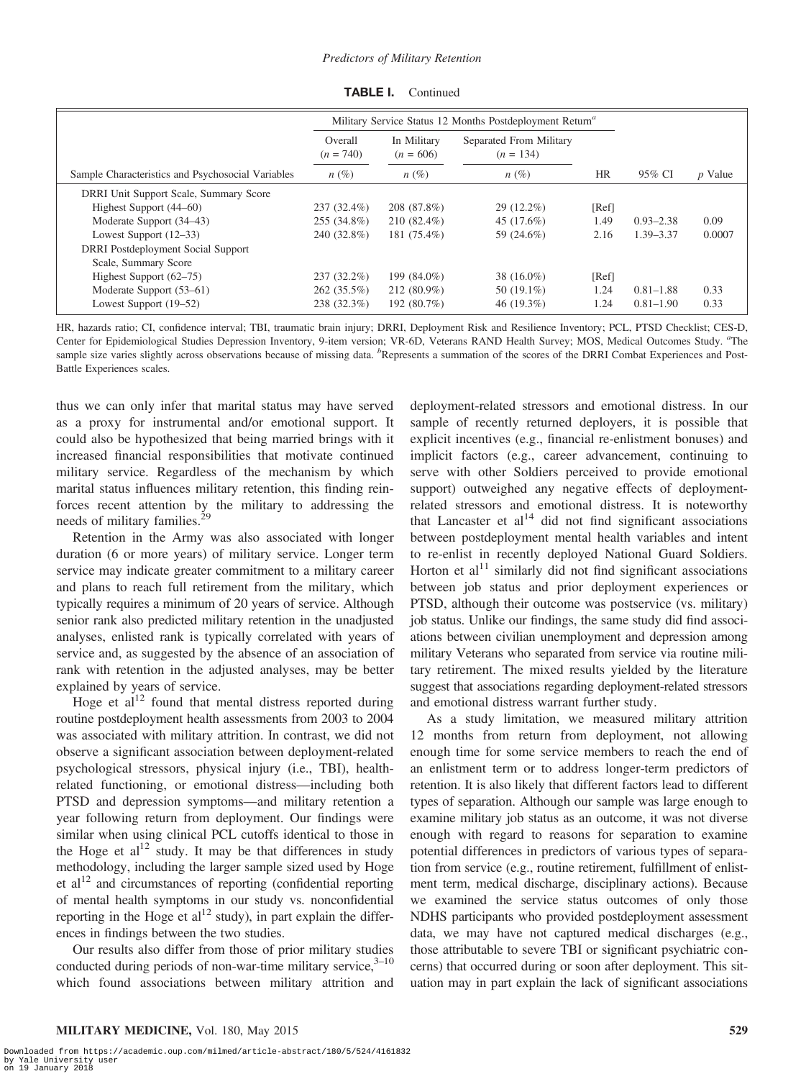|                                                   | Military Service Status 12 Months Postdeployment Return <sup>a</sup> |                            |                                        |           |               |           |
|---------------------------------------------------|----------------------------------------------------------------------|----------------------------|----------------------------------------|-----------|---------------|-----------|
|                                                   | Overall<br>$(n = 740)$                                               | In Military<br>$(n = 606)$ | Separated From Military<br>$(n = 134)$ |           |               |           |
| Sample Characteristics and Psychosocial Variables | $n(\%)$                                                              | $n(\%)$                    | $n(\%)$                                | <b>HR</b> | 95% CI        | $p$ Value |
| DRRI Unit Support Scale, Summary Score            |                                                                      |                            |                                        |           |               |           |
| Highest Support (44–60)                           | 237 (32.4%)                                                          | 208 (87.8%)                | 29 (12.2%)                             | [Ref]     |               |           |
| Moderate Support (34–43)                          | 255 (34.8%)                                                          | $210(82.4\%)$              | 45 (17.6%)                             | 1.49      | $0.93 - 2.38$ | 0.09      |
| Lowest Support $(12-33)$                          | 240 (32.8%)                                                          | 181 (75.4%)                | 59 (24.6%)                             | 2.16      | $1.39 - 3.37$ | 0.0007    |
| <b>DRRI</b> Postdeployment Social Support         |                                                                      |                            |                                        |           |               |           |
| Scale, Summary Score                              |                                                                      |                            |                                        |           |               |           |
| Highest Support $(62–75)$                         | 237 (32.2%)                                                          | 199 (84.0%)                | 38 (16.0%)                             | [Ref]     |               |           |
| Moderate Support (53–61)                          | $262(35.5\%)$                                                        | 212 (80.9%)                | 50 $(19.1\%)$                          | 1.24      | $0.81 - 1.88$ | 0.33      |
| Lowest Support (19–52)                            | 238 (32.3%)                                                          | 192 (80.7%)                | 46 $(19.3\%)$                          | 1.24      | $0.81 - 1.90$ | 0.33      |

**TABLE I.** Continued

HR, hazards ratio; CI, confidence interval; TBI, traumatic brain injury; DRRI, Deployment Risk and Resilience Inventory; PCL, PTSD Checklist; CES-D, Center for Epidemiological Studies Depression Inventory, 9-item version; VR-6D, Veterans RAND Health Survey; MOS, Medical Outcomes Study. "The sample size varies slightly across observations because of missing data. <sup>b</sup>Represents a summation of the scores of the DRRI Combat Experiences and Post-Battle Experiences scales.

thus we can only infer that marital status may have served as a proxy for instrumental and/or emotional support. It could also be hypothesized that being married brings with it increased financial responsibilities that motivate continued military service. Regardless of the mechanism by which marital status influences military retention, this finding reinforces recent attention by the military to addressing the needs of military families.<sup>29</sup>

Retention in the Army was also associated with longer duration (6 or more years) of military service. Longer term service may indicate greater commitment to a military career and plans to reach full retirement from the military, which typically requires a minimum of 20 years of service. Although senior rank also predicted military retention in the unadjusted analyses, enlisted rank is typically correlated with years of service and, as suggested by the absence of an association of rank with retention in the adjusted analyses, may be better explained by years of service.

Hoge et  $al<sup>12</sup>$  found that mental distress reported during routine postdeployment health assessments from 2003 to 2004 was associated with military attrition. In contrast, we did not observe a significant association between deployment-related psychological stressors, physical injury (i.e., TBI), healthrelated functioning, or emotional distress—including both PTSD and depression symptoms—and military retention a year following return from deployment. Our findings were similar when using clinical PCL cutoffs identical to those in the Hoge et al<sup>12</sup> study. It may be that differences in study methodology, including the larger sample sized used by Hoge et  $al<sup>12</sup>$  and circumstances of reporting (confidential reporting of mental health symptoms in our study vs. nonconfidential reporting in the Hoge et al<sup>12</sup> study), in part explain the differences in findings between the two studies.

Our results also differ from those of prior military studies conducted during periods of non-war-time military service, $3-10$ which found associations between military attrition and deployment-related stressors and emotional distress. In our sample of recently returned deployers, it is possible that explicit incentives (e.g., financial re-enlistment bonuses) and implicit factors (e.g., career advancement, continuing to serve with other Soldiers perceived to provide emotional support) outweighed any negative effects of deploymentrelated stressors and emotional distress. It is noteworthy that Lancaster et  $al<sup>14</sup>$  did not find significant associations between postdeployment mental health variables and intent to re-enlist in recently deployed National Guard Soldiers. Horton et al<sup>11</sup> similarly did not find significant associations between job status and prior deployment experiences or PTSD, although their outcome was postservice (vs. military) job status. Unlike our findings, the same study did find associations between civilian unemployment and depression among military Veterans who separated from service via routine military retirement. The mixed results yielded by the literature suggest that associations regarding deployment-related stressors and emotional distress warrant further study.

As a study limitation, we measured military attrition 12 months from return from deployment, not allowing enough time for some service members to reach the end of an enlistment term or to address longer-term predictors of retention. It is also likely that different factors lead to different types of separation. Although our sample was large enough to examine military job status as an outcome, it was not diverse enough with regard to reasons for separation to examine potential differences in predictors of various types of separation from service (e.g., routine retirement, fulfillment of enlistment term, medical discharge, disciplinary actions). Because we examined the service status outcomes of only those NDHS participants who provided postdeployment assessment data, we may have not captured medical discharges (e.g., those attributable to severe TBI or significant psychiatric concerns) that occurred during or soon after deployment. This situation may in part explain the lack of significant associations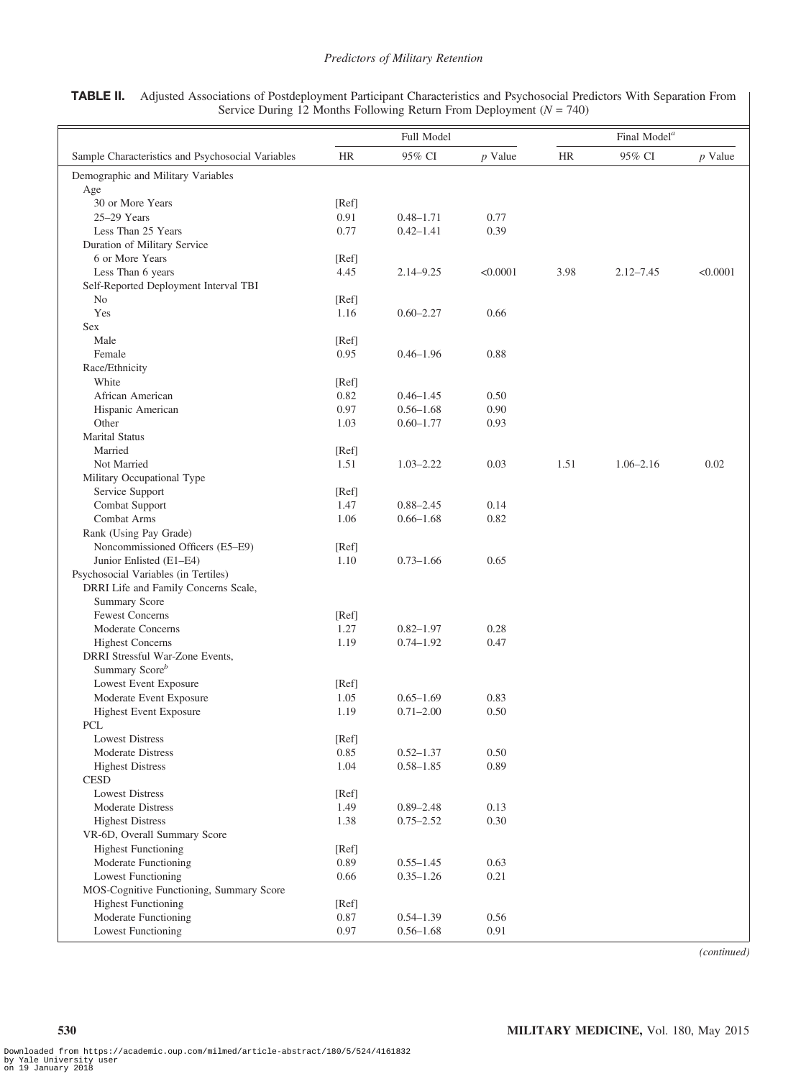TABLE II. Adjusted Associations of Postdeployment Participant Characteristics and Psychosocial Predictors With Separation From Service During 12 Months Following Return From Deployment ( $N = 740$ )

|                                                            | Full Model |               |           | Final Model <sup>a</sup> |               |           |  |
|------------------------------------------------------------|------------|---------------|-----------|--------------------------|---------------|-----------|--|
| Sample Characteristics and Psychosocial Variables          | <b>HR</b>  | 95% CI        | $p$ Value | HR                       | 95% CI        | $p$ Value |  |
| Demographic and Military Variables                         |            |               |           |                          |               |           |  |
| Age                                                        |            |               |           |                          |               |           |  |
| 30 or More Years                                           | [Ref]      |               |           |                          |               |           |  |
| 25-29 Years                                                | 0.91       | $0.48 - 1.71$ | 0.77      |                          |               |           |  |
| Less Than 25 Years                                         | 0.77       | $0.42 - 1.41$ | 0.39      |                          |               |           |  |
| Duration of Military Service                               |            |               |           |                          |               |           |  |
| 6 or More Years                                            | [Ref]      | $2.14 - 9.25$ | < 0.0001  |                          |               |           |  |
| Less Than 6 years<br>Self-Reported Deployment Interval TBI | 4.45       |               |           | 3.98                     | $2.12 - 7.45$ | < 0.0001  |  |
| No                                                         | [Ref]      |               |           |                          |               |           |  |
| Yes                                                        | 1.16       | $0.60 - 2.27$ | 0.66      |                          |               |           |  |
| Sex                                                        |            |               |           |                          |               |           |  |
| Male                                                       | [Ref]      |               |           |                          |               |           |  |
| Female                                                     | 0.95       | $0.46 - 1.96$ | 0.88      |                          |               |           |  |
| Race/Ethnicity                                             |            |               |           |                          |               |           |  |
| White                                                      | [Ref]      |               |           |                          |               |           |  |
| African American                                           | 0.82       | $0.46 - 1.45$ | 0.50      |                          |               |           |  |
| Hispanic American                                          | 0.97       | $0.56 - 1.68$ | 0.90      |                          |               |           |  |
| Other                                                      | 1.03       | $0.60 - 1.77$ | 0.93      |                          |               |           |  |
| <b>Marital Status</b>                                      |            |               |           |                          |               |           |  |
| Married                                                    | [Ref]      |               |           |                          |               |           |  |
| Not Married                                                | 1.51       | $1.03 - 2.22$ | 0.03      | 1.51                     | $1.06 - 2.16$ | 0.02      |  |
| Military Occupational Type                                 |            |               |           |                          |               |           |  |
| Service Support                                            | [Ref]      |               |           |                          |               |           |  |
| Combat Support                                             | 1.47       | $0.88 - 2.45$ | 0.14      |                          |               |           |  |
| Combat Arms                                                | 1.06       | $0.66 - 1.68$ | 0.82      |                          |               |           |  |
| Rank (Using Pay Grade)                                     |            |               |           |                          |               |           |  |
| Noncommissioned Officers (E5-E9)                           | [Ref]      |               |           |                          |               |           |  |
| Junior Enlisted (E1-E4)                                    | 1.10       | $0.73 - 1.66$ | 0.65      |                          |               |           |  |
| Psychosocial Variables (in Tertiles)                       |            |               |           |                          |               |           |  |
| DRRI Life and Family Concerns Scale,                       |            |               |           |                          |               |           |  |
| Summary Score                                              |            |               |           |                          |               |           |  |
| <b>Fewest Concerns</b>                                     | [Ref]      |               |           |                          |               |           |  |
| Moderate Concerns                                          | 1.27       | $0.82 - 1.97$ | 0.28      |                          |               |           |  |
| <b>Highest Concerns</b>                                    | 1.19       | $0.74 - 1.92$ | 0.47      |                          |               |           |  |
| DRRI Stressful War-Zone Events,                            |            |               |           |                          |               |           |  |
| Summary Score <sup>b</sup>                                 |            |               |           |                          |               |           |  |
| Lowest Event Exposure                                      | [Ref]      |               |           |                          |               |           |  |
| Moderate Event Exposure                                    | 1.05       | $0.65 - 1.69$ | 0.83      |                          |               |           |  |
| <b>Highest Event Exposure</b>                              | 1.19       | $0.71 - 2.00$ | 0.50      |                          |               |           |  |
| PCL                                                        |            |               |           |                          |               |           |  |
| Lowest Distress                                            | [Ref]      |               |           |                          |               |           |  |
| <b>Moderate Distress</b>                                   | 0.85       | $0.52 - 1.37$ | 0.50      |                          |               |           |  |
| <b>Highest Distress</b>                                    | 1.04       | $0.58 - 1.85$ | 0.89      |                          |               |           |  |
| <b>CESD</b>                                                |            |               |           |                          |               |           |  |
| <b>Lowest Distress</b>                                     | [Ref]      |               |           |                          |               |           |  |
| Moderate Distress                                          | 1.49       | $0.89 - 2.48$ | 0.13      |                          |               |           |  |
| <b>Highest Distress</b>                                    | 1.38       | $0.75 - 2.52$ | 0.30      |                          |               |           |  |
| VR-6D, Overall Summary Score                               |            |               |           |                          |               |           |  |
| <b>Highest Functioning</b>                                 | [Ref]      |               |           |                          |               |           |  |
| Moderate Functioning                                       | 0.89       | $0.55 - 1.45$ | 0.63      |                          |               |           |  |
| <b>Lowest Functioning</b>                                  | 0.66       | $0.35 - 1.26$ | 0.21      |                          |               |           |  |
| MOS-Cognitive Functioning, Summary Score                   |            |               |           |                          |               |           |  |
| <b>Highest Functioning</b>                                 | [Ref]      |               |           |                          |               |           |  |
| Moderate Functioning                                       | 0.87       | $0.54 - 1.39$ | 0.56      |                          |               |           |  |
| <b>Lowest Functioning</b>                                  | 0.97       | $0.56 - 1.68$ | 0.91      |                          |               |           |  |

(continued)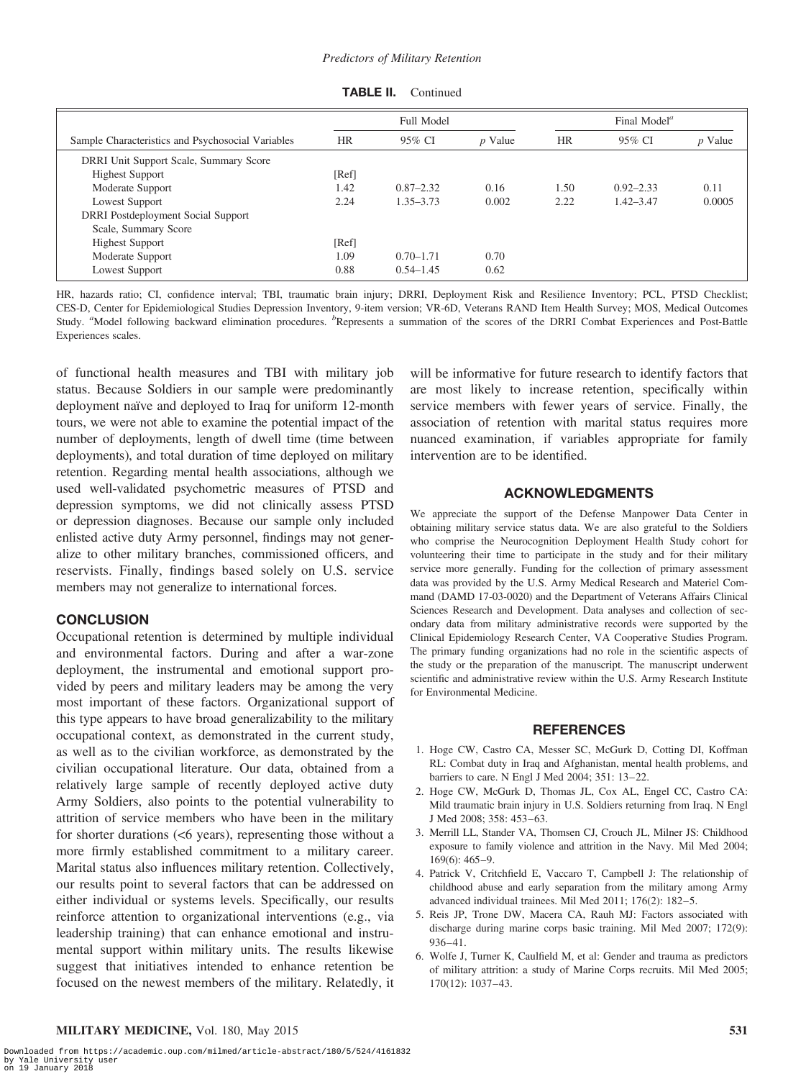|                                                   | Full Model |               |           | Final Model <sup><math>a</math></sup> |               |           |  |
|---------------------------------------------------|------------|---------------|-----------|---------------------------------------|---------------|-----------|--|
| Sample Characteristics and Psychosocial Variables | <b>HR</b>  | 95% CI        | $p$ Value | <b>HR</b>                             | 95% CI        | $p$ Value |  |
| DRRI Unit Support Scale, Summary Score            |            |               |           |                                       |               |           |  |
| <b>Highest Support</b>                            | [Ref]      |               |           |                                       |               |           |  |
| Moderate Support                                  | 1.42       | $0.87 - 2.32$ | 0.16      | 1.50                                  | $0.92 - 2.33$ | 0.11      |  |
| Lowest Support                                    | 2.24       | $1.35 - 3.73$ | 0.002     | 2.22                                  | $1.42 - 3.47$ | 0.0005    |  |
| <b>DRRI</b> Postdeployment Social Support         |            |               |           |                                       |               |           |  |
| Scale, Summary Score                              |            |               |           |                                       |               |           |  |
| <b>Highest Support</b>                            | [Ref]      |               |           |                                       |               |           |  |
| Moderate Support                                  | 1.09       | $0.70 - 1.71$ | 0.70      |                                       |               |           |  |
| Lowest Support                                    | 0.88       | $0.54 - 1.45$ | 0.62      |                                       |               |           |  |

**TABLE II.** Continued

HR, hazards ratio; CI, confidence interval; TBI, traumatic brain injury; DRRI, Deployment Risk and Resilience Inventory; PCL, PTSD Checklist; CES-D, Center for Epidemiological Studies Depression Inventory, 9-item version; VR-6D, Veterans RAND Item Health Survey; MOS, Medical Outcomes Study. "Model following backward elimination procedures. <sup>b</sup>Represents a summation of the scores of the DRRI Combat Experiences and Post-Battle Experiences scales.

of functional health measures and TBI with military job status. Because Soldiers in our sample were predominantly deployment naïve and deployed to Iraq for uniform 12-month tours, we were not able to examine the potential impact of the number of deployments, length of dwell time (time between deployments), and total duration of time deployed on military retention. Regarding mental health associations, although we used well-validated psychometric measures of PTSD and depression symptoms, we did not clinically assess PTSD or depression diagnoses. Because our sample only included enlisted active duty Army personnel, findings may not generalize to other military branches, commissioned officers, and reservists. Finally, findings based solely on U.S. service members may not generalize to international forces.

## **CONCLUSION**

Occupational retention is determined by multiple individual and environmental factors. During and after a war-zone deployment, the instrumental and emotional support provided by peers and military leaders may be among the very most important of these factors. Organizational support of this type appears to have broad generalizability to the military occupational context, as demonstrated in the current study, as well as to the civilian workforce, as demonstrated by the civilian occupational literature. Our data, obtained from a relatively large sample of recently deployed active duty Army Soldiers, also points to the potential vulnerability to attrition of service members who have been in the military for shorter durations (<6 years), representing those without a more firmly established commitment to a military career. Marital status also influences military retention. Collectively, our results point to several factors that can be addressed on either individual or systems levels. Specifically, our results reinforce attention to organizational interventions (e.g., via leadership training) that can enhance emotional and instrumental support within military units. The results likewise suggest that initiatives intended to enhance retention be focused on the newest members of the military. Relatedly, it will be informative for future research to identify factors that are most likely to increase retention, specifically within service members with fewer years of service. Finally, the association of retention with marital status requires more nuanced examination, if variables appropriate for family intervention are to be identified.

# ACKNOWLEDGMENTS

We appreciate the support of the Defense Manpower Data Center in obtaining military service status data. We are also grateful to the Soldiers who comprise the Neurocognition Deployment Health Study cohort for volunteering their time to participate in the study and for their military service more generally. Funding for the collection of primary assessment data was provided by the U.S. Army Medical Research and Materiel Command (DAMD 17-03-0020) and the Department of Veterans Affairs Clinical Sciences Research and Development. Data analyses and collection of secondary data from military administrative records were supported by the Clinical Epidemiology Research Center, VA Cooperative Studies Program. The primary funding organizations had no role in the scientific aspects of the study or the preparation of the manuscript. The manuscript underwent scientific and administrative review within the U.S. Army Research Institute for Environmental Medicine.

#### REFERENCES

- 1. Hoge CW, Castro CA, Messer SC, McGurk D, Cotting DI, Koffman RL: Combat duty in Iraq and Afghanistan, mental health problems, and barriers to care. N Engl J Med 2004; 351: 13–22.
- 2. Hoge CW, McGurk D, Thomas JL, Cox AL, Engel CC, Castro CA: Mild traumatic brain injury in U.S. Soldiers returning from Iraq. N Engl J Med 2008; 358: 453–63.
- 3. Merrill LL, Stander VA, Thomsen CJ, Crouch JL, Milner JS: Childhood exposure to family violence and attrition in the Navy. Mil Med 2004; 169(6): 465–9.
- 4. Patrick V, Critchfield E, Vaccaro T, Campbell J: The relationship of childhood abuse and early separation from the military among Army advanced individual trainees. Mil Med 2011; 176(2): 182–5.
- 5. Reis JP, Trone DW, Macera CA, Rauh MJ: Factors associated with discharge during marine corps basic training. Mil Med 2007; 172(9): 936–41.
- 6. Wolfe J, Turner K, Caulfield M, et al: Gender and trauma as predictors of military attrition: a study of Marine Corps recruits. Mil Med 2005; 170(12): 1037–43.